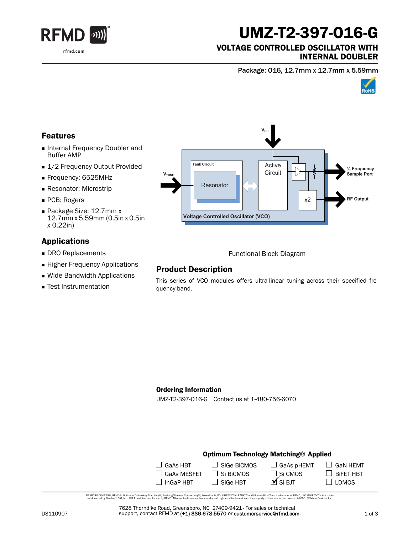

# UMZ-T2-397-O16-G

### VOLTAGE CONTROLLED OSCILLATOR WITH INTERNAL DOUBLER

Package: O16, 12.7mm x 12.7mm x 5.59mm



## Features

- Internal Frequency Doubler and Buffer AMP
- 1/2 Frequency Output Provided
- Frequency: 6525MHz
- **Resonator: Microstrip**
- PCB: Rogers
- Package Size: 12.7mm x 12.7mm x 5.59mm (0.5in x 0.5in x 0.22in)

## Applications

- DRO Replacements
- **Higher Frequency Applications**
- Wide Bandwidth Applications
- **F** Test Instrumentation



Functional Block Diagram

## Product Description

This series of VCO modules offers ultra-linear tuning across their specified frequency band.

#### Ordering Information

UMZ-T2-397-O16-G Contact us at 1-480-756-6070

### Optimum Technology Matching® Applied

| $\Box$ GaAs HBT    | $\Box$ Sige BiCMOS | $\Box$ GaAs pHEMT     |
|--------------------|--------------------|-----------------------|
| $\Box$ GaAs MESFET | $\Box$ Si BiCMOS   | □ Si CMOS<br>■ Si BJT |
| $\Box$ InGaP HBT   | $\Box$ SiGe HBT    |                       |

RF MCRO DEVCES®, RFMD®, Optimum Technology Matching®, Erabling Wireless Connectivity™, PowerStar®, POLARIS™ TOTAL RADIO™ and UltimateBlue™ are trademarks of RFMD, LLC. BLUETOOTH is a trade<br>… mark owned by Bluetooth SIG, I

7628 Thorndike Road, Greensboro, NC 27409-9421 · For sales or technical support, contact RFMD at (+1) 336-678-5570 or customerservice@rfmd.com.  $\Box$  GaN HEMT

 $\Box$  BiFET HBT  $\square$  LDMOS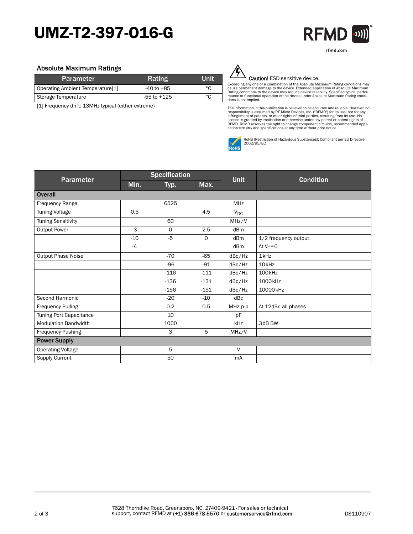# UMZ-T2-397-O16-G



#### Absolute Maximum Ratings

| <b>Parameter</b>                 | <b>Rating</b>   | Unit |
|----------------------------------|-----------------|------|
| Operating Ambient Temperature[1] | -40 to +85      | °C   |
| Storage Temperature              | $-55$ to $+125$ | °C   |

[1] Frequency drift: 13MHz typical (either extreme)



#### Caution! ESD sensitive device.

Exceeding any one or a combination of the Absolute Maximum Rating conditions may<br>cause permanent damage to the device. Extended application of Absolute Maximum<br>Rating conditions to the device may reduce device reliability. tions is not implied.

The information in this publication is believed to be accurate and reliable. However, no<br>responsibility is assumed by RF Micro Devices, Inc. ("RFMD") for its use, nor for any<br>infringement of patents, or other rights of thi



RoHS (Restriction of Hazardous Substances): Compliant per EU Directive 2002/95/EC.

|                             | <b>Specification</b> |        |                     |            |                      |
|-----------------------------|----------------------|--------|---------------------|------------|----------------------|
| Parameter                   | Min.                 | Typ.   | <b>Unit</b><br>Max. |            | <b>Condition</b>     |
| <b>Overall</b>              |                      |        |                     |            |                      |
| Frequency Range             |                      | 6525   |                     | <b>MHz</b> |                      |
| <b>Tuning Voltage</b>       | 0.5                  |        | 4.5                 | $V_{DC}$   |                      |
| <b>Tuning Sensitivity</b>   |                      | 60     |                     | MHz/V      |                      |
| <b>Output Power</b>         | $-3$                 | 0      | 2.5                 | dBm        |                      |
|                             | $-10$                | $-5$   | 0                   | dBm        | 1/2 frequency output |
|                             | $-4$                 |        |                     | dBm        | At $V_T = 0$         |
| <b>Output Phase Noise</b>   |                      | $-70$  | $-65$               | dBc/Hz     | 1kHz                 |
|                             |                      | $-96$  | $-91$               | dBc/Hz     | 10 <sub>kHz</sub>    |
|                             |                      | $-116$ | $-111$              | dBc/Hz     | 100 <sub>kHz</sub>   |
|                             |                      | $-136$ | $-131$              | dBc/Hz     | 1000kHz              |
|                             |                      | $-156$ | $-151$              | dBc/Hz     | 10000kHz             |
| Second Harmonic             |                      | $-20$  | $-10$               | dBc        |                      |
| <b>Frequency Pulling</b>    |                      | 0.2    | 0.5                 | MHz p-p    | At 12dBr, all phases |
| Tuning Port Capacitance     |                      | 10     |                     | pF         |                      |
| <b>Modulation Bandwidth</b> |                      | 1000   |                     | kHz        | 3dB BW               |
| Frequency Pushing           |                      | 3      | 5                   | MHz/V      |                      |
| <b>Power Supply</b>         |                      |        |                     |            |                      |
| <b>Operating Voltage</b>    |                      | 5      |                     | $\vee$     |                      |
| <b>Supply Current</b>       |                      | 50     |                     | mA         |                      |